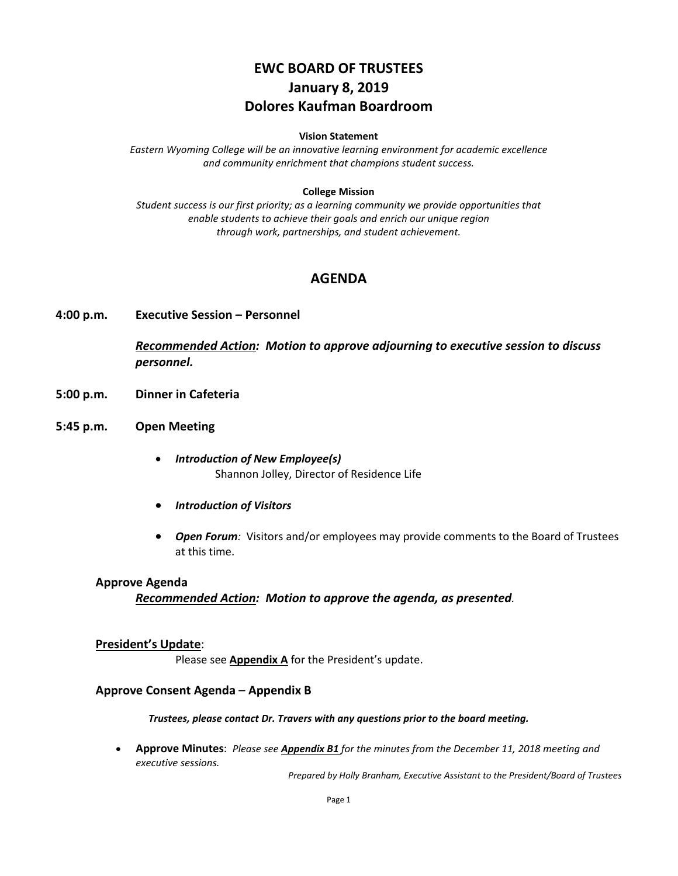# **EWC BOARD OF TRUSTEES January 8, 2019 Dolores Kaufman Boardroom**

#### **Vision Statement**

*Eastern Wyoming College will be an innovative learning environment for academic excellence and community enrichment that champions student success.*

#### **College Mission**

*Student success is our first priority; as a learning community we provide opportunities that enable students to achieve their goals and enrich our unique region through work, partnerships, and student achievement.*

### **AGENDA**

**4:00 p.m. Executive Session – Personnel**

*Recommended Action: Motion to approve adjourning to executive session to discuss personnel.*

- **5:00 p.m. Dinner in Cafeteria**
- **5:45 p.m. Open Meeting**
	- *Introduction of New Employee(s)* Shannon Jolley, Director of Residence Life
	- *Introduction of Visitors*
	- *Open Forum:* Visitors and/or employees may provide comments to the Board of Trustees at this time.

#### **Approve Agenda**

*Recommended Action: Motion to approve the agenda, as presented.*

#### **President's Update**:

Please see **Appendix A** for the President's update.

#### **Approve Consent Agenda** – **Appendix B**

*Trustees, please contact Dr. Travers with any questions prior to the board meeting.*

• **Approve Minutes**: *Please see Appendix B1 for the minutes from the December 11, 2018 meeting and executive sessions.*

*Prepared by Holly Branham, Executive Assistant to the President/Board of Trustees*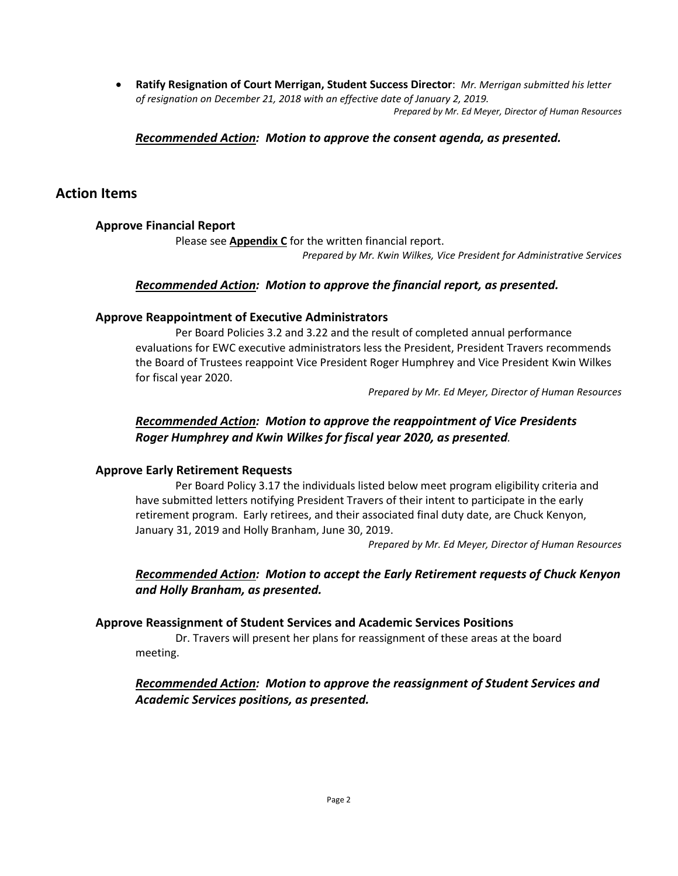• **Ratify Resignation of Court Merrigan, Student Success Director**: *Mr. Merrigan submitted his letter of resignation on December 21, 2018 with an effective date of January 2, 2019. Prepared by Mr. Ed Meyer, Director of Human Resources*

#### *Recommended Action: Motion to approve the consent agenda, as presented.*

## **Action Items**

### **Approve Financial Report**

Please see **Appendix C** for the written financial report.

*Prepared by Mr. Kwin Wilkes, Vice President for Administrative Services*

#### *Recommended Action: Motion to approve the financial report, as presented.*

#### **Approve Reappointment of Executive Administrators**

Per Board Policies 3.2 and 3.22 and the result of completed annual performance evaluations for EWC executive administrators less the President, President Travers recommends the Board of Trustees reappoint Vice President Roger Humphrey and Vice President Kwin Wilkes for fiscal year 2020.

*Prepared by Mr. Ed Meyer, Director of Human Resources*

### *Recommended Action: Motion to approve the reappointment of Vice Presidents Roger Humphrey and Kwin Wilkes for fiscal year 2020, as presented.*

### **Approve Early Retirement Requests**

Per Board Policy 3.17 the individuals listed below meet program eligibility criteria and have submitted letters notifying President Travers of their intent to participate in the early retirement program. Early retirees, and their associated final duty date, are Chuck Kenyon, January 31, 2019 and Holly Branham, June 30, 2019.

*Prepared by Mr. Ed Meyer, Director of Human Resources*

*Recommended Action: Motion to accept the Early Retirement requests of Chuck Kenyon and Holly Branham, as presented.*

#### **Approve Reassignment of Student Services and Academic Services Positions**

Dr. Travers will present her plans for reassignment of these areas at the board meeting.

### *Recommended Action: Motion to approve the reassignment of Student Services and Academic Services positions, as presented.*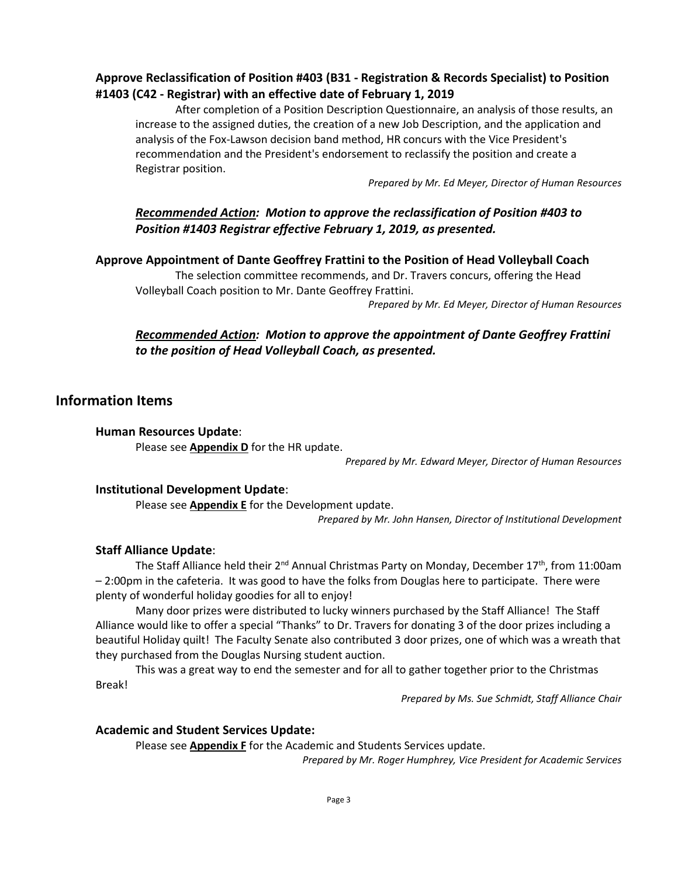## **Approve Reclassification of Position #403 (B31 - Registration & Records Specialist) to Position #1403 (C42 - Registrar) with an effective date of February 1, 2019**

After completion of a Position Description Questionnaire, an analysis of those results, an increase to the assigned duties, the creation of a new Job Description, and the application and analysis of the Fox-Lawson decision band method, HR concurs with the Vice President's recommendation and the President's endorsement to reclassify the position and create a Registrar position.

*Prepared by Mr. Ed Meyer, Director of Human Resources*

## *Recommended Action: Motion to approve the reclassification of Position #403 to Position #1403 Registrar effective February 1, 2019, as presented.*

#### **Approve Appointment of Dante Geoffrey Frattini to the Position of Head Volleyball Coach**

The selection committee recommends, and Dr. Travers concurs, offering the Head Volleyball Coach position to Mr. Dante Geoffrey Frattini.

*Prepared by Mr. Ed Meyer, Director of Human Resources*

## *Recommended Action: Motion to approve the appointment of Dante Geoffrey Frattini to the position of Head Volleyball Coach, as presented.*

### **Information Items**

#### **Human Resources Update**:

Please see **Appendix D** for the HR update.

*Prepared by Mr. Edward Meyer, Director of Human Resources*

#### **Institutional Development Update**:

Please see **Appendix E** for the Development update.

*Prepared by Mr. John Hansen, Director of Institutional Development*

### **Staff Alliance Update**:

The Staff Alliance held their 2<sup>nd</sup> Annual Christmas Party on Monday, December 17<sup>th</sup>, from 11:00am – 2:00pm in the cafeteria. It was good to have the folks from Douglas here to participate. There were plenty of wonderful holiday goodies for all to enjoy!

Many door prizes were distributed to lucky winners purchased by the Staff Alliance! The Staff Alliance would like to offer a special "Thanks" to Dr. Travers for donating 3 of the door prizes including a beautiful Holiday quilt! The Faculty Senate also contributed 3 door prizes, one of which was a wreath that they purchased from the Douglas Nursing student auction.

This was a great way to end the semester and for all to gather together prior to the Christmas Break!

*Prepared by Ms. Sue Schmidt, Staff Alliance Chair*

#### **Academic and Student Services Update:**

Please see **Appendix F** for the Academic and Students Services update.

*Prepared by Mr. Roger Humphrey, Vice President for Academic Services*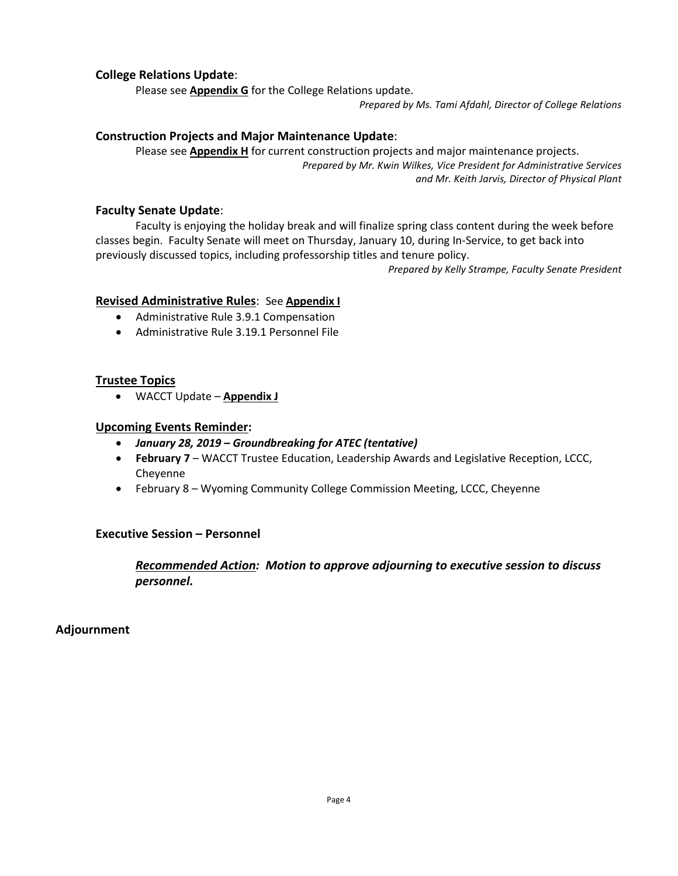#### **College Relations Update**:

Please see **Appendix G** for the College Relations update.

*Prepared by Ms. Tami Afdahl, Director of College Relations*

#### **Construction Projects and Major Maintenance Update**:

Please see **Appendix H** for current construction projects and major maintenance projects. *Prepared by Mr. Kwin Wilkes, Vice President for Administrative Services and Mr. Keith Jarvis, Director of Physical Plant*

#### **Faculty Senate Update**:

Faculty is enjoying the holiday break and will finalize spring class content during the week before classes begin. Faculty Senate will meet on Thursday, January 10, during In-Service, to get back into previously discussed topics, including professorship titles and tenure policy.

*Prepared by Kelly Strampe, Faculty Senate President*

#### **Revised Administrative Rules**: See **Appendix I**

- Administrative Rule 3.9.1 Compensation
- Administrative Rule 3.19.1 Personnel File

#### **Trustee Topics**

• WACCT Update – **Appendix J**

#### **Upcoming Events Reminder:**

- *January 28, 2019 – Groundbreaking for ATEC (tentative)*
- **February 7** WACCT Trustee Education, Leadership Awards and Legislative Reception, LCCC, Cheyenne
- February 8 Wyoming Community College Commission Meeting, LCCC, Cheyenne

#### **Executive Session – Personnel**

*Recommended Action: Motion to approve adjourning to executive session to discuss personnel.*

### **Adjournment**